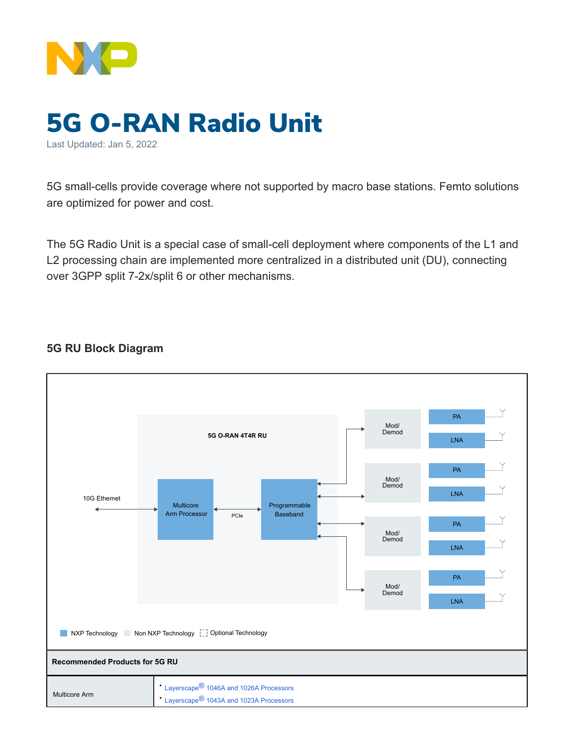

## 5G O-RAN Radio Unit Last Updated: Jan 5, 2022

5G small-cells provide coverage where not supported by macro base stations. Femto solutions are optimized for power and cost.

The 5G Radio Unit is a special case of small-cell deployment where components of the L1 and L2 processing chain are implemented more centralized in a distributed unit (DU), connecting over 3GPP split 7-2x/split 6 or other mechanisms.

## **5G RU Block Diagram**